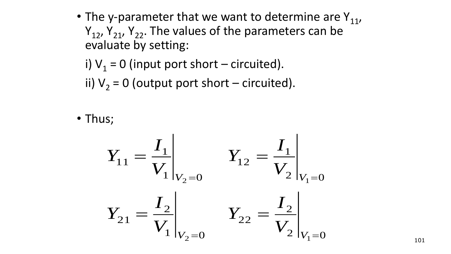• The y-parameter that we want to determine are  $Y_{11}$ ,  $Y_1$ ,  $Y_2$ ,  $Y_3$ . The values of the parameters can be evaluate by setting:

i)  $V_1$  = 0 (input port short – circuited).

ii)  $V_2$  = 0 (output port short – circuited).

• Thus;

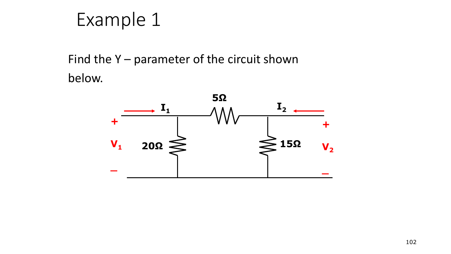

#### Find the  $Y$  – parameter of the circuit shown below.

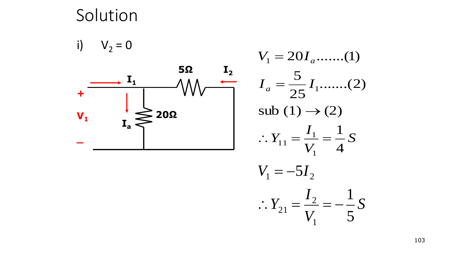#### Solution



:  $Y_{21} = \frac{I_2}{V_1} = -\frac{1}{5}S$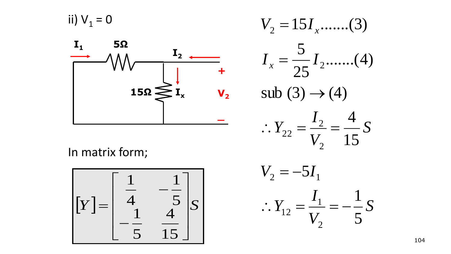ii)  $V_1 = 0$ 



$$
V_2 = 15I_x \dots (3)
$$



$$
\therefore Y_{22} = \frac{I_2}{V_2} = \frac{4}{15} S
$$

In matrix form;



$$
V_2 = -5I_1
$$
  
  $\therefore Y_{12} = \frac{I_1}{V_2} = -\frac{1}{5}S$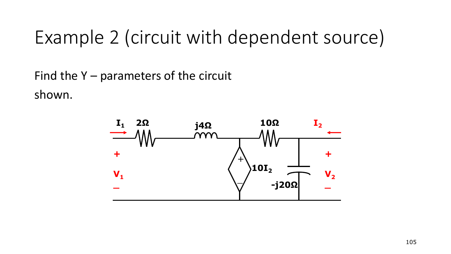## Example 2 (circuit with dependent source)

Find the  $Y$  – parameters of the circuit shown.

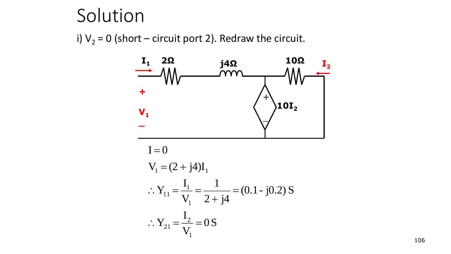### Solution

i)  $V_2$  = 0 (short – circuit port 2). Redraw the circuit.

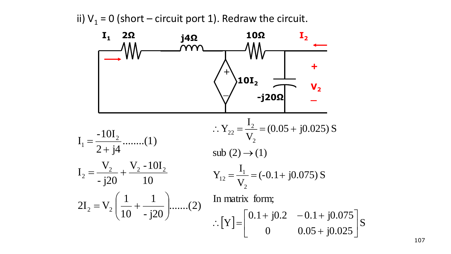ii)  $V_1$  = 0 (short – circuit port 1). Redraw the circuit.

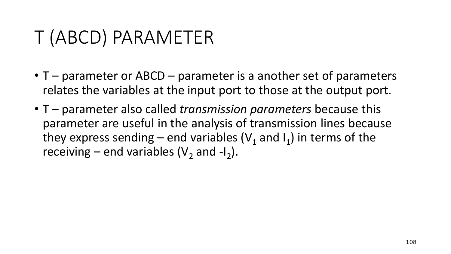# T (ABCD) PARAMETER

- T parameter or ABCD parameter is a another set of parameters relates the variables at the input port to those at the output port.
- T parameter also called *transmission parameters* because this parameter are useful in the analysis of transmission lines because they express sending – end variables ( $V_1$  and  $I_1$ ) in terms of the receiving – end variables ( $V_2$  and -I<sub>2</sub>).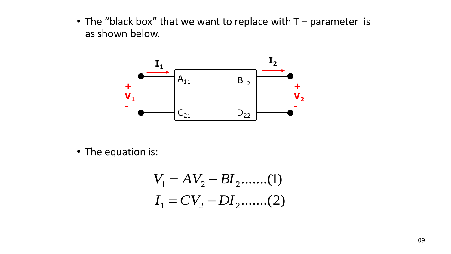• The "black box" that we want to replace with  $T$  – parameter is as shown below.



• The equation is:

$$
V_1 = AV_2 - BI_2 \dots (1)
$$
  

$$
I_1 = CV_2 - DI_2 \dots (2)
$$